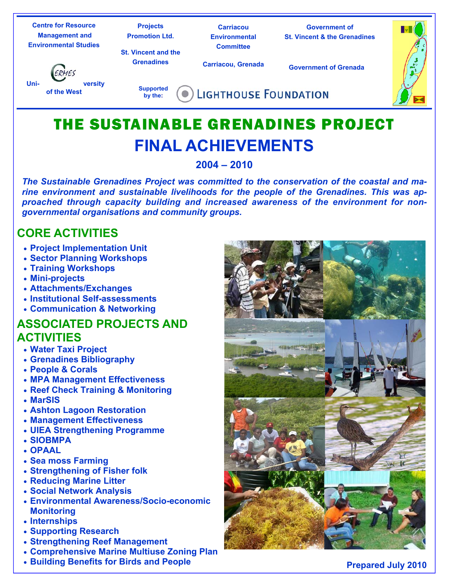| <b>Centre for Resource</b><br><b>Management and</b><br><b>Environmental Studies</b> | <b>Projects</b><br><b>Promotion Ltd.</b><br><b>St. Vincent and the</b> | Carriacou<br><b>Environmental</b><br><b>Committee</b> | <b>Government of</b><br><b>St. Vincent &amp; the Grenadines</b> |  |
|-------------------------------------------------------------------------------------|------------------------------------------------------------------------|-------------------------------------------------------|-----------------------------------------------------------------|--|
| ERMES<br>Uni-<br><b>versity</b><br>of the West                                      | <b>Grenadines</b>                                                      | <b>Carriacou, Grenada</b>                             | <b>Government of Grenada</b>                                    |  |
|                                                                                     | <b>Supported</b><br>by the:                                            | <b>LIGHTHOUSE FOUNDATION</b>                          |                                                                 |  |
|                                                                                     |                                                                        |                                                       |                                                                 |  |

# THE SUSTAINABLE GRENADINES PROJECT **FINAL ACHIEVEMENTS**

# **2004 – 2010**

*The Sustainable Grenadines Project was committed to the conservation of the coastal and marine environment and sustainable livelihoods for the people of the Grenadines. This was approached through capacity building and increased awareness of the environment for nongovernmental organisations and community groups.* 

# **CORE ACTIVITIES**

- **Project Implementation Unit**
- **Sector Planning Workshops**
- **Training Workshops**
- **Mini-projects**
- **Attachments/Exchanges**
- **Institutional Self-assessments**
- **Communication & Networking**

# **ASSOCIATED PROJECTS AND ACTIVITIES**

- **Water Taxi Project**
- **Grenadines Bibliography**
- **People & Corals**
- **MPA Management Effectiveness**
- **Reef Check Training & Monitoring**
- **MarSIS**
- **Ashton Lagoon Restoration**
- **Management Effectiveness**
- **UIEA Strengthening Programme**
- **SIOBMPA**
- **OPAAL**
- **Sea moss Farming**
- **Strengthening of Fisher folk**
- **Reducing Marine Litter**
- **Social Network Analysis**
- **Environmental Awareness/Socio-economic Monitoring**
- **Internships**
- **Supporting Research**
- **Strengthening Reef Management**
- **Comprehensive Marine Multiuse Zoning Plan**
- **Building Benefits for Birds and People**

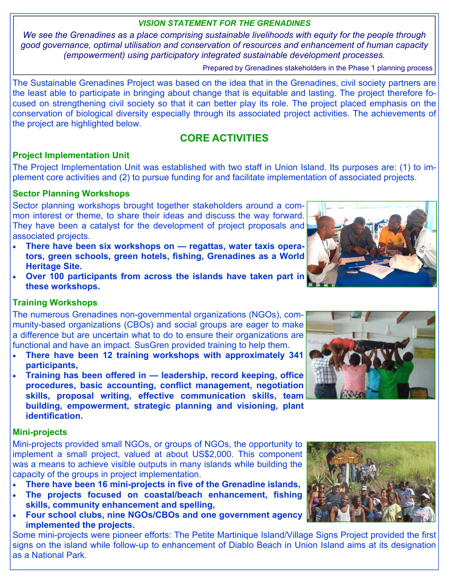# *VISION STATEMENT FOR THE GRENADINES*

*We see the Grenadines as a place comprising sustainable livelihoods with equity for the people through good governance, optimal utilisation and conservation of resources and enhancement of human capacity (empowerment) using participatory integrated sustainable development processes.*

Prepared by Grenadines stakeholders in the Phase 1 planning process

The Sustainable Grenadines Project was based on the idea that in the Grenadines, civil society partners are the least able to participate in bringing about change that is equitable and lasting. The project therefore focused on strengthening civil society so that it can better play its role. The project placed emphasis on the conservation of biological diversity especially through its associated project activities. The achievements of the project are highlighted below.

# **CORE ACTIVITIES**

#### **Project Implementation Unit**

The Project Implementation Unit was established with two staff in Union Island. Its purposes are: (1) to implement core activities and (2) to pursue funding for and facilitate implementation of associated projects.

# **Sector Planning Workshops**

Sector planning workshops brought together stakeholders around a common interest or theme, to share their ideas and discuss the way forward. They have been a catalyst for the development of project proposals and associated projects.

- **There have been six workshops on regattas, water taxis operators, green schools, green hotels, fishing, Grenadines as a World Heritage Site.**
- **Over 100 participants from across the islands have taken part in these workshops.**



#### **Training Workshops**

The numerous Grenadines non-governmental organizations (NGOs), community-based organizations (CBOs) and social groups are eager to make a difference but are uncertain what to do to ensure their organizations are functional and have an impact. SusGren provided training to help them.

- **There have been 12 training workshops with approximately 341 participants,**
- **Training has been offered in leadership, record keeping, office procedures, basic accounting, conflict management, negotiation skills, proposal writing, effective communication skills, team building, empowerment, strategic planning and visioning, plant identification.**

#### **Mini-projects**

Mini-projects provided small NGOs, or groups of NGOs, the opportunity to implement a small project, valued at about US\$2,000. This component was a means to achieve visible outputs in many islands while building the capacity of the groups in project implementation.

- **There have been 16 mini-projects in five of the Grenadine islands,**
- **The projects focused on coastal/beach enhancement, fishing skills, community enhancement and spelling,**
- **Four school clubs, nine NGOs/CBOs and one government agency implemented the projects.**

Some mini-projects were pioneer efforts: The Petite Martinique Island/Village Signs Project provided the first signs on the island while follow-up to enhancement of Diablo Beach in Union Island aims at its designation as a National Park.



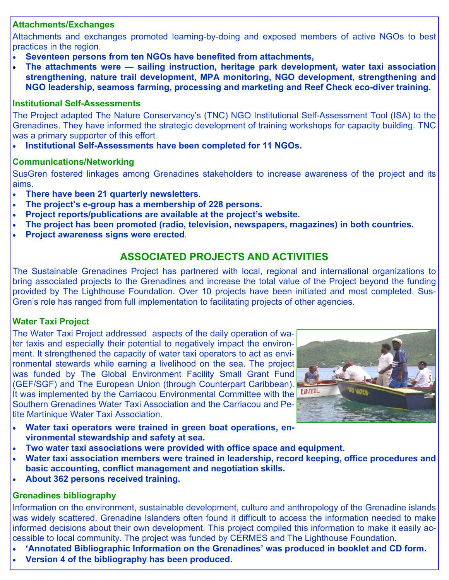#### **Attachments/Exchanges**

Attachments and exchanges promoted learning-by-doing and exposed members of active NGOs to best practices in the region.

- **Seventeen persons from ten NGOs have benefited from attachments,**
- **The attachments were sailing instruction, heritage park development, water taxi association strengthening, nature trail development, MPA monitoring, NGO development, strengthening and NGO leadership, seamoss farming, processing and marketing and Reef Check eco-diver training.**

# **Institutional Self-Assessments**

The Project adapted The Nature Conservancy's (TNC) NGO Institutional Self-Assessment Tool (ISA) to the Grenadines. They have informed the strategic development of training workshops for capacity building. TNC was a primary supporter of this effort.

• **Institutional Self-Assessments have been completed for 11 NGOs.** 

# **Communications/Networking**

SusGren fostered linkages among Grenadines stakeholders to increase awareness of the project and its aims.

- **There have been 21 quarterly newsletters.**
- **The project's e-group has a membership of 228 persons.**
- **Project reports/publications are available at the project's website.**
- **The project has been promoted (radio, television, newspapers, magazines) in both countries.**
- **Project awareness signs were erected.**

# **ASSOCIATED PROJECTS AND ACTIVITIES**

The Sustainable Grenadines Project has partnered with local, regional and international organizations to bring associated projects to the Grenadines and increase the total value of the Project beyond the funding provided by The Lighthouse Foundation. Over 10 projects have been initiated and most completed. Sus-Gren's role has ranged from full implementation to facilitating projects of other agencies.

# **Water Taxi Project**

The Water Taxi Project addressed aspects of the daily operation of water taxis and especially their potential to negatively impact the environment. It strengthened the capacity of water taxi operators to act as environmental stewards while earning a livelihood on the sea. The project was funded by The Global Environment Facility Small Grant Fund (GEF/SGF) and The European Union (through Counterpart Caribbean). It was implemented by the Carriacou Environmental Committee with the Southern Grenadines Water Taxi Association and the Carriacou and Petite Martinique Water Taxi Association.



- Water taxi operators were trained in green boat operations, en**vironmental stewardship and safety at sea.**
- **Two water taxi associations were provided with office space and equipment.**
- **Water taxi association members were trained in leadership, record keeping, office procedures and basic accounting, conflict management and negotiation skills.**
- **About 362 persons received training.**

# **Grenadines bibliography**

Information on the environment, sustainable development, culture and anthropology of the Grenadine islands was widely scattered. Grenadine Islanders often found it difficult to access the information needed to make informed decisions about their own development. This project compiled this information to make it easily accessible to local community. The project was funded by CERMES and The Lighthouse Foundation.

- **'Annotated Bibliographic Information on the Grenadines' was produced in booklet and CD form.**
- **Version 4 of the bibliography has been produced.**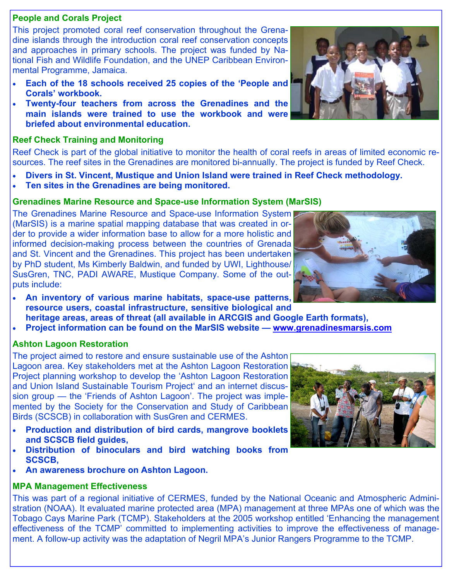# **People and Corals Project**

This project promoted coral reef conservation throughout the Grenadine islands through the introduction coral reef conservation concepts and approaches in primary schools. The project was funded by National Fish and Wildlife Foundation, and the UNEP Caribbean Environmental Programme, Jamaica.

- **Each of the 18 schools received 25 copies of the 'People and Corals' workbook.**
- **Twenty-four teachers from across the Grenadines and the main islands were trained to use the workbook and were briefed about environmental education.**

#### **Reef Check Training and Monitoring**

Reef Check is part of the global initiative to monitor the health of coral reefs in areas of limited economic resources. The reef sites in the Grenadines are monitored bi-annually. The project is funded by Reef Check.

- **Divers in St. Vincent, Mustique and Union Island were trained in Reef Check methodology.**
- **Ten sites in the Grenadines are being monitored.**

#### **Grenadines Marine Resource and Space-use Information System (MarSIS)**

The Grenadines Marine Resource and Space-use Information System (MarSIS) is a marine spatial mapping database that was created in order to provide a wider information base to allow for a more holistic and informed decision-making process between the countries of Grenada and St. Vincent and the Grenadines. This project has been undertaken by PhD student, Ms Kimberly Baldwin, and funded by UWI, Lighthouse/ SusGren, TNC, PADI AWARE, Mustique Company. Some of the outputs include:

- **An inventory of various marine habitats, space-use patterns, resource users, coastal infrastructure, sensitive biological and**
- **heritage areas, areas of threat (all available in ARCGIS and Google Earth formats),**
- **Project information can be found on the MarSIS website www.grenadinesmarsis.com**

#### **Ashton Lagoon Restoration**

The project aimed to restore and ensure sustainable use of the Ashton Lagoon area. Key stakeholders met at the Ashton Lagoon Restoration Project planning workshop to develop the 'Ashton Lagoon Restoration and Union Island Sustainable Tourism Project' and an internet discussion group — the 'Friends of Ashton Lagoon'. The project was implemented by the Society for the Conservation and Study of Caribbean Birds (SCSCB) in collaboration with SusGren and CERMES.

- **Production and distribution of bird cards, mangrove booklets and SCSCB field guides,**
- **Distribution of binoculars and bird watching books from SCSCB,**
- **An awareness brochure on Ashton Lagoon.**

#### **MPA Management Effectiveness**

This was part of a regional initiative of CERMES, funded by the National Oceanic and Atmospheric Administration (NOAA). It evaluated marine protected area (MPA) management at three MPAs one of which was the Tobago Cays Marine Park (TCMP). Stakeholders at the 2005 workshop entitled 'Enhancing the management effectiveness of the TCMP' committed to implementing activities to improve the effectiveness of management. A follow-up activity was the adaptation of Negril MPA's Junior Rangers Programme to the TCMP.





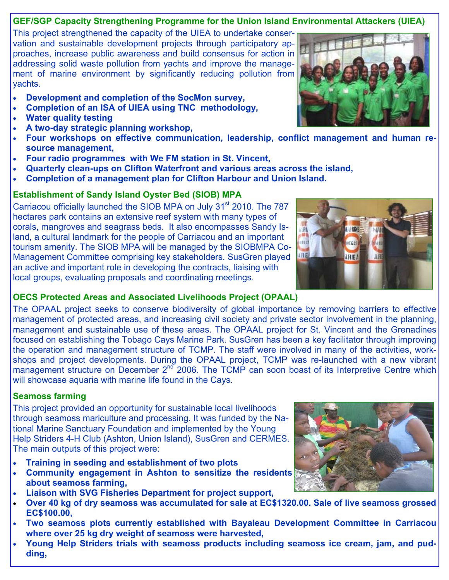# **GEF/SGP Capacity Strengthening Programme for the Union Island Environmental Attackers (UIEA)**

This project strengthened the capacity of the UIEA to undertake conservation and sustainable development projects through participatory approaches, increase public awareness and build consensus for action in addressing solid waste pollution from yachts and improve the management of marine environment by significantly reducing pollution from yachts.

- **Development and completion of the SocMon survey,**
- **Completion of an ISA of UIEA using TNC methodology,**
- **Water quality testing**
- **A two-day strategic planning workshop,**
- **Four workshops on effective communication, leadership, conflict management and human resource management,**
- **Four radio programmes with We FM station in St. Vincent,**
- **Quarterly clean-ups on Clifton Waterfront and various areas across the island,**
- **Completion of a management plan for Clifton Harbour and Union Island.**

# **Establishment of Sandy Island Oyster Bed (SIOB) MPA**

Carriacou officially launched the SIOB MPA on July 31<sup>st</sup> 2010. The 787 hectares park contains an extensive reef system with many types of corals, mangroves and seagrass beds. It also encompasses Sandy Island, a cultural landmark for the people of Carriacou and an important tourism amenity. The SIOB MPA will be managed by the SIOBMPA Co-Management Committee comprising key stakeholders. SusGren played an active and important role in developing the contracts, liaising with local groups, evaluating proposals and coordinating meetings.

#### **OECS Protected Areas and Associated Livelihoods Project (OPAAL)**

The OPAAL project seeks to conserve biodiversity of global importance by removing barriers to effective management of protected areas, and increasing civil society and private sector involvement in the planning, management and sustainable use of these areas. The OPAAL project for St. Vincent and the Grenadines focused on establishing the Tobago Cays Marine Park. SusGren has been a key facilitator through improving the operation and management structure of TCMP. The staff were involved in many of the activities, workshops and project developments. During the OPAAL project, TCMP was re-launched with a new vibrant management structure on December 2<sup>nd</sup> 2006. The TCMP can soon boast of its Interpretive Centre which will showcase aquaria with marine life found in the Cays.

# **Seamoss farming**

This project provided an opportunity for sustainable local livelihoods through seamoss mariculture and processing. It was funded by the National Marine Sanctuary Foundation and implemented by the Young Help Striders 4-H Club (Ashton, Union Island), SusGren and CERMES. The main outputs of this project were:

- **Training in seeding and establishment of two plots**
- **Community engagement in Ashton to sensitize the residents about seamoss farming,**
- **Liaison with SVG Fisheries Department for project support,**
- **Over 40 kg of dry seamoss was accumulated for sale at EC\$1320.00. Sale of live seamoss grossed EC\$100.00,**
- **Two seamoss plots currently established with Bayaleau Development Committee in Carriacou where over 25 kg dry weight of seamoss were harvested,**
- **Young Help Striders trials with seamoss products including seamoss ice cream, jam, and pudding,**





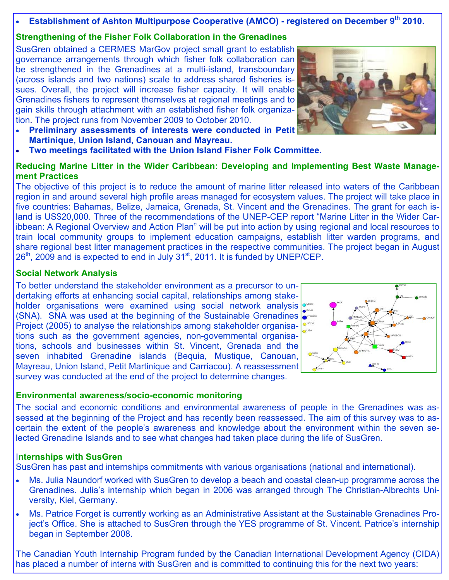# **Establishment of Ashton Multipurpose Cooperative (AMCO) - registered on December 9th 2010.**

# **Strengthening of the Fisher Folk Collaboration in the Grenadines**

SusGren obtained a CERMES MarGov project small grant to establish governance arrangements through which fisher folk collaboration can be strengthened in the Grenadines at a multi-island, transboundary (across islands and two nations) scale to address shared fisheries issues. Overall, the project will increase fisher capacity. It will enable Grenadines fishers to represent themselves at regional meetings and to gain skills through attachment with an established fisher folk organization. The project runs from November 2009 to October 2010.

- **Preliminary assessments of interests were conducted in Petit Martinique, Union Island, Canouan and Mayreau.**
- **Two meetings facilitated with the Union Island Fisher Folk Committee.**

# **Reducing Marine Litter in the Wider Caribbean: Developing and Implementing Best Waste Management Practices**

The objective of this project is to reduce the amount of marine litter released into waters of the Caribbean region in and around several high profile areas managed for ecosystem values. The project will take place in five countries: Bahamas, Belize, Jamaica, Grenada, St. Vincent and the Grenadines. The grant for each island is US\$20,000. Three of the recommendations of the UNEP-CEP report "Marine Litter in the Wider Caribbean: A Regional Overview and Action Plan" will be put into action by using regional and local resources to train local community groups to implement education campaigns, establish litter warden programs, and share regional best litter management practices in the respective communities. The project began in August 26<sup>th</sup>, 2009 and is expected to end in July 31<sup>st</sup>, 2011. It is funded by UNEP/CEP.

#### **Social Network Analysis**

To better understand the stakeholder environment as a precursor to undertaking efforts at enhancing social capital, relationships among stakeholder organisations were examined using social network analysis (SNA). SNA was used at the beginning of the Sustainable Grenadines Project (2005) to analyse the relationships among stakeholder organisations such as the government agencies, non-governmental organisations, schools and businesses within St. Vincent, Grenada and the seven inhabited Grenadine islands (Bequia, Mustique, Canouan, Mayreau, Union Island, Petit Martinique and Carriacou). A reassessment survey was conducted at the end of the project to determine changes.

# **Environmental awareness/socio-economic monitoring**

The social and economic conditions and environmental awareness of people in the Grenadines was assessed at the beginning of the Project and has recently been reassessed. The aim of this survey was to ascertain the extent of the people's awareness and knowledge about the environment within the seven selected Grenadine Islands and to see what changes had taken place during the life of SusGren.

#### I**nternships with SusGren**

SusGren has past and internships commitments with various organisations (national and international).

- Ms. Julia Naundorf worked with SusGren to develop a beach and coastal clean-up programme across the Grenadines. Julia's internship which began in 2006 was arranged through The Christian-Albrechts University, Kiel, Germany.
- Ms. Patrice Forget is currently working as an Administrative Assistant at the Sustainable Grenadines Project's Office. She is attached to SusGren through the YES programme of St. Vincent. Patrice's internship began in September 2008.

The Canadian Youth Internship Program funded by the Canadian International Development Agency (CIDA) has placed a number of interns with SusGren and is committed to continuing this for the next two years:



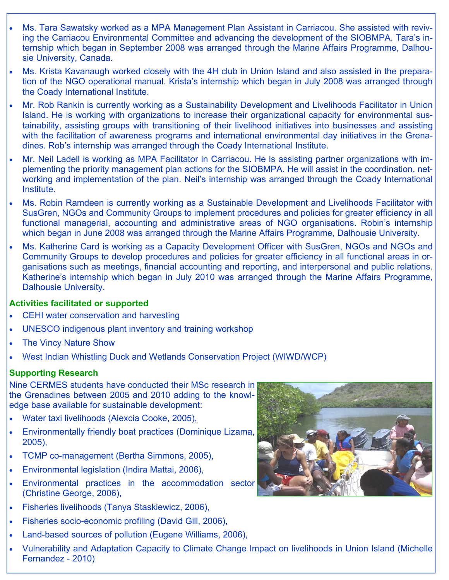- Ms. Tara Sawatsky worked as a MPA Management Plan Assistant in Carriacou. She assisted with reviving the Carriacou Environmental Committee and advancing the development of the SIOBMPA. Tara's internship which began in September 2008 was arranged through the Marine Affairs Programme, Dalhousie University, Canada.
- Ms. Krista Kavanaugh worked closely with the 4H club in Union Island and also assisted in the preparation of the NGO operational manual. Krista's internship which began in July 2008 was arranged through the Coady International Institute.
- Mr. Rob Rankin is currently working as a Sustainability Development and Livelihoods Facilitator in Union Island. He is working with organizations to increase their organizational capacity for environmental sustainability, assisting groups with transitioning of their livelihood initiatives into businesses and assisting with the facilitation of awareness programs and international environmental day initiatives in the Grenadines. Rob's internship was arranged through the Coady International Institute.
- Mr. Neil Ladell is working as MPA Facilitator in Carriacou. He is assisting partner organizations with implementing the priority management plan actions for the SIOBMPA. He will assist in the coordination, networking and implementation of the plan. Neil's internship was arranged through the Coady International Institute.
- Ms. Robin Ramdeen is currently working as a Sustainable Development and Livelihoods Facilitator with SusGren, NGOs and Community Groups to implement procedures and policies for greater efficiency in all functional managerial, accounting and administrative areas of NGO organisations. Robin's internship which began in June 2008 was arranged through the Marine Affairs Programme, Dalhousie University.
- Ms. Katherine Card is working as a Capacity Development Officer with SusGren, NGOs and NGOs and Community Groups to develop procedures and policies for greater efficiency in all functional areas in organisations such as meetings, financial accounting and reporting, and interpersonal and public relations. Katherine's internship which began in July 2010 was arranged through the Marine Affairs Programme, Dalhousie University.

#### **Activities facilitated or supported**

- CEHI water conservation and harvesting
- UNESCO indigenous plant inventory and training workshop
- **The Vincy Nature Show**
- West Indian Whistling Duck and Wetlands Conservation Project (WIWD/WCP)

#### **Supporting Research**

Nine CERMES students have conducted their MSc research in the Grenadines between 2005 and 2010 adding to the knowledge base available for sustainable development:

- Water taxi livelihoods (Alexcia Cooke, 2005),
- Environmentally friendly boat practices (Dominique Lizama, 2005),
- TCMP co-management (Bertha Simmons, 2005),
- Environmental legislation (Indira Mattai, 2006),
- Environmental practices in the accommodation sector (Christine George, 2006),
- Fisheries livelihoods (Tanya Staskiewicz, 2006),
- Fisheries socio-economic profiling (David Gill, 2006),
- Land-based sources of pollution (Eugene Williams, 2006),
- Vulnerability and Adaptation Capacity to Climate Change Impact on livelihoods in Union Island (Michelle Fernandez - 2010)